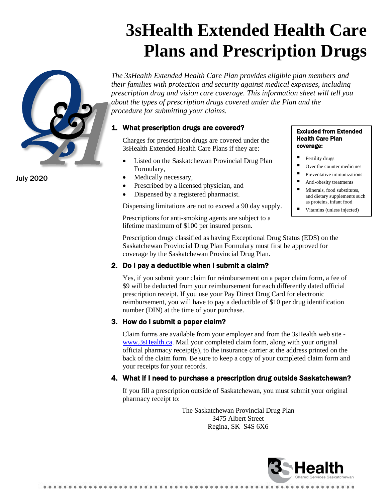# **3sHealth Extended Health Care Plans and Prescription Drugs**



July 2020

*The 3sHealth Extended Health Care Plan provides eligible plan members and their families with protection and security against medical expenses, including prescription drug and vision care coverage. This information sheet will tell you about the types of prescription drugs covered under the Plan and the procedure for submitting your claims.*

## 1. What prescription drugs are covered?

Charges for prescription drugs are covered under the 3sHealth Extended Health Care Plans if they are:

- Listed on the Saskatchewan Provincial Drug Plan Formulary,
- Medically necessary,
- Prescribed by a licensed physician, and
- Dispensed by a registered pharmacist.

Dispensing limitations are not to exceed a 90 day supply.

Prescriptions for anti-smoking agents are subject to a lifetime maximum of \$100 per insured person.

#### Excluded from Extended Health Care Plan coverage:

- Fertility drugs
- Over the counter medicines
- $\blacksquare$  Preventative immunizations
- Anti-obesity treatments
- Minerals, food substitutes, and dietary supplements such as proteins, infant food
- Vitamins (unless injected)

Prescription drugs classified as having Exceptional Drug Status (EDS) on the Saskatchewan Provincial Drug Plan Formulary must first be approved for coverage by the Saskatchewan Provincial Drug Plan.

# 2. Do I pay a deductible when I submit a claim?

Yes, if you submit your claim for reimbursement on a paper claim form, a fee of \$9 will be deducted from your reimbursement for each differently dated official prescription receipt. If you use your Pay Direct Drug Card for electronic reimbursement, you will have to pay a deductible of \$10 per drug identification number (DIN) at the time of your purchase.

## 3. How do I submit a paper claim?

Claim forms are available from your employer and from the 3sHealth web site [www.3sHealth.ca.](http://www.3shealth.ca/) Mail your completed claim form, along with your original official pharmacy receipt(s), to the insurance carrier at the address printed on the back of the claim form. Be sure to keep a copy of your completed claim form and your receipts for your records.

## 4. What if I need to purchase a prescription drug outside Saskatchewan?

If you fill a prescription outside of Saskatchewan, you must submit your original pharmacy receipt to:

> The Saskatchewan Provincial Drug Plan 3475 Albert Street Regina, SK S4S 6X6

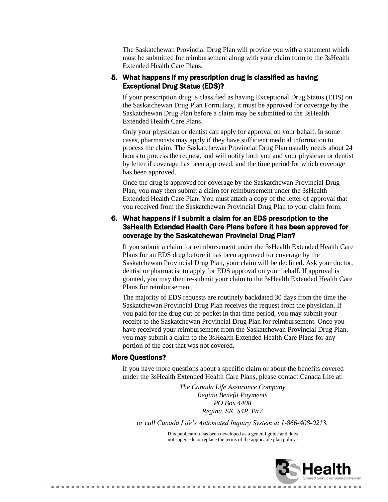The Saskatchewan Provincial Drug Plan will provide you with a statement which must be submitted for reimbursement along with your claim form to the 3sHealth Extended Health Care Plans.

#### 5. What happens if my prescription drug is classified as having Exceptional Drug Status (EDS)?

If your prescription drug is classified as having Exceptional Drug Status (EDS) on the Saskatchewan Drug Plan Formulary, it must be approved for coverage by the Saskatchewan Drug Plan before a claim may be submitted to the 3sHealth Extended Health Care Plans.

Only your physician or dentist can apply for approval on your behalf. In some cases, pharmacists may apply if they have sufficient medical information to process the claim. The Saskatchewan Provincial Drug Plan usually needs about 24 hours to process the request, and will notify both you and your physician or dentist by letter if coverage has been approved, and the time period for which coverage has been approved.

Once the drug is approved for coverage by the Saskatchewan Provincial Drug Plan, you may then submit a claim for reimbursement under the 3sHealth Extended Health Care Plan. You must attach a copy of the letter of approval that you received from the Saskatchewan Provincial Drug Plan to your claim form.

### 6. What happens if I submit a claim for an EDS prescription to the 3sHealth Extended Health Care Plans before it has been approved for coverage by the Saskatchewan Provincial Drug Plan?

If you submit a claim for reimbursement under the 3sHealth Extended Health Care Plans for an EDS drug before it has been approved for coverage by the Saskatchewan Provincial Drug Plan, your claim will be declined. Ask your doctor, dentist or pharmacist to apply for EDS approval on your behalf. If approval is granted, you may then re-submit your claim to the 3sHealth Extended Health Care Plans for reimbursement.

The majority of EDS requests are routinely backdated 30 days from the time the Saskatchewan Provincial Drug Plan receives the request from the physician. If you paid for the drug out-of-pocket in that time period, you may submit your receipt to the Saskatchewan Provincial Drug Plan for reimbursement. Once you have received your reimbursement from the Saskatchewan Provincial Drug Plan, you may submit a claim to the 3sHealth Extended Health Care Plans for any portion of the cost that was not covered.

#### More Questions?

......................

If you have more questions about a specific claim or about the benefits covered under the 3sHealth Extended Health Care Plans, please contact Canada Life at:

> *The Canada Life Assurance Company Regina Benefit Payments PO Box 4408 Regina, SK S4P 3W7*

*or call Canada Life's Automated Inquiry System at 1-866-408-0213.*

This publication has been developed as a general guide and does not supersede or replace the terms of the applicable plan policy.